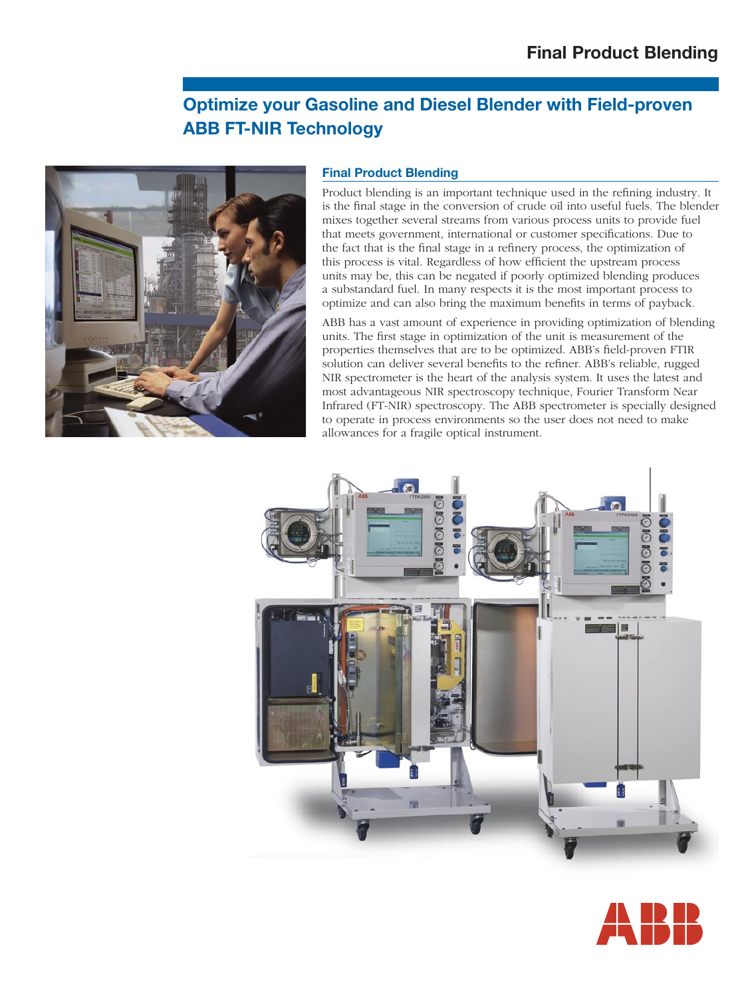# **Optimize your Gasoline and Diesel Blender with Field-proven ABB FT-NIR Technology**



# **Final Product Blending**

Product blending is an important technique used in the refining industry. It is the final stage in the conversion of crude oil into useful fuels. The blender mixes together several streams from various process units to provide fuel that meets government, international or customer specifications. Due to the fact that is the final stage in a refinery process, the optimization of this process is vital. Regardless of how efficient the upstream process units may be, this can be negated if poorly optimized blending produces a substandard fuel. In many respects it is the most important process to optimize and can also bring the maximum benefits in terms of payback.

ABB has a vast amount of experience in providing optimization of blending units. The first stage in optimization of the unit is measurement of the properties themselves that are to be optimized. ABB's field-proven FTIR solution can deliver several benefits to the refiner. ABB's reliable, rugged NIR spectrometer is the heart of the analysis system. It uses the latest and most advantageous NIR spectroscopy technique, Fourier Transform Near Infrared (FT-NIR) spectroscopy. The ABB spectrometer is specially designed to operate in process environments so the user does not need to make allowances for a fragile optical instrument.



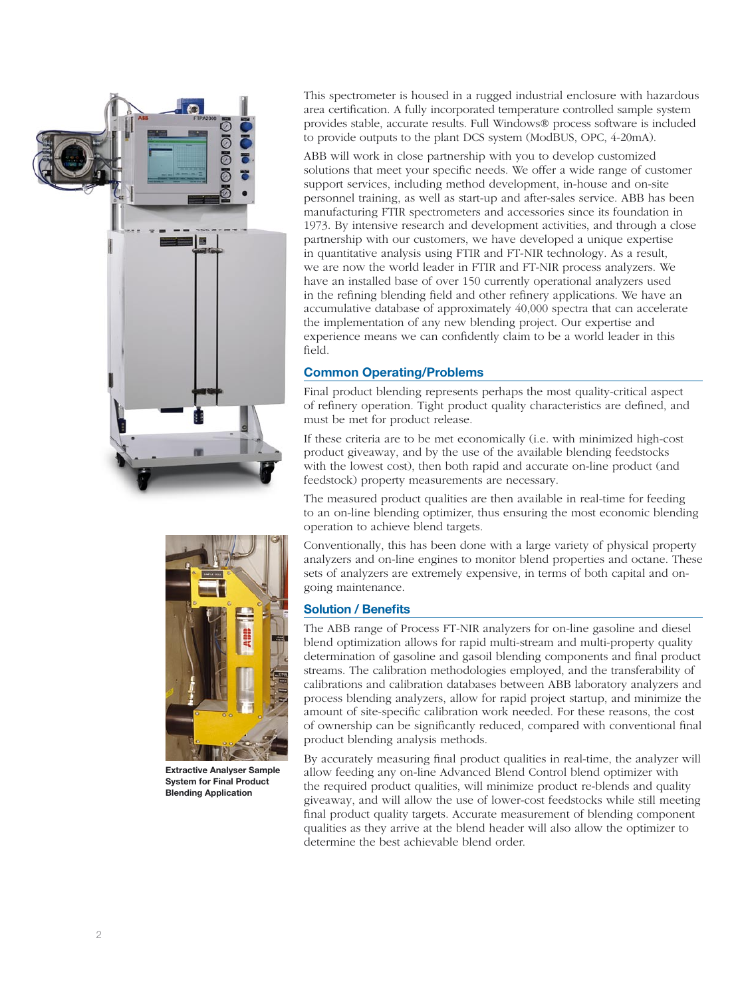

This spectrometer is housed in a rugged industrial enclosure with hazardous area certification. A fully incorporated temperature controlled sample system provides stable, accurate results. Full Windows® process software is included to provide outputs to the plant DCS system (ModBUS, OPC, 4-20mA).

ABB will work in close partnership with you to develop customized solutions that meet your specific needs. We offer a wide range of customer support services, including method development, in-house and on-site personnel training, as well as start-up and after-sales service. ABB has been manufacturing FTIR spectrometers and accessories since its foundation in 1973. By intensive research and development activities, and through a close partnership with our customers, we have developed a unique expertise in quantitative analysis using FTIR and FT-NIR technology. As a result, we are now the world leader in FTIR and FT-NIR process analyzers. We have an installed base of over 150 currently operational analyzers used in the refining blending field and other refinery applications. We have an accumulative database of approximately 40,000 spectra that can accelerate the implementation of any new blending project. Our expertise and experience means we can confidently claim to be a world leader in this field.

# **Common Operating/Problems**

Final product blending represents perhaps the most quality-critical aspect of refinery operation. Tight product quality characteristics are defined, and must be met for product release.

If these criteria are to be met economically (i.e. with minimized high-cost product giveaway, and by the use of the available blending feedstocks with the lowest cost), then both rapid and accurate on-line product (and feedstock) property measurements are necessary.

The measured product qualities are then available in real-time for feeding to an on-line blending optimizer, thus ensuring the most economic blending operation to achieve blend targets.

Conventionally, this has been done with a large variety of physical property analyzers and on-line engines to monitor blend properties and octane. These sets of analyzers are extremely expensive, in terms of both capital and ongoing maintenance.

### **Solution / Benefits**

The ABB range of Process FT-NIR analyzers for on-line gasoline and diesel blend optimization allows for rapid multi-stream and multi-property quality determination of gasoline and gasoil blending components and final product streams. The calibration methodologies employed, and the transferability of calibrations and calibration databases between ABB laboratory analyzers and process blending analyzers, allow for rapid project startup, and minimize the amount of site-specific calibration work needed. For these reasons, the cost of ownership can be significantly reduced, compared with conventional final product blending analysis methods.

By accurately measuring final product qualities in real-time, the analyzer will allow feeding any on-line Advanced Blend Control blend optimizer with the required product qualities, will minimize product re-blends and quality giveaway, and will allow the use of lower-cost feedstocks while still meeting final product quality targets. Accurate measurement of blending component qualities as they arrive at the blend header will also allow the optimizer to determine the best achievable blend order.



**Extractive Analyser Sample System for Final Product Blending Application**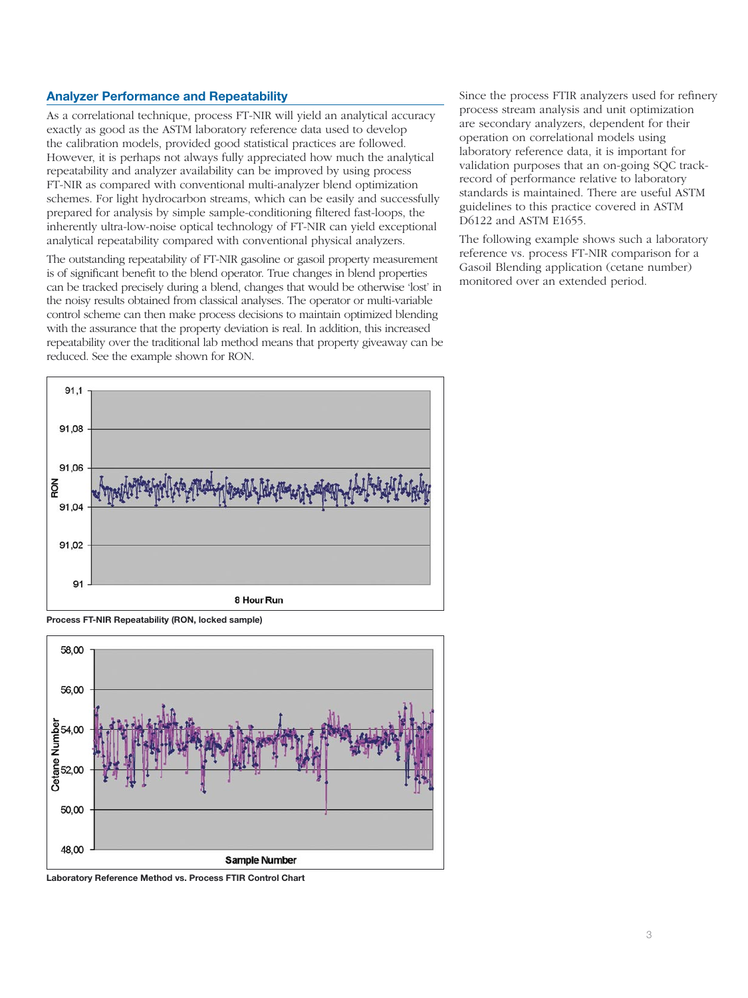### **Analyzer Performance and Repeatability**

As a correlational technique, process FT-NIR will yield an analytical accuracy exactly as good as the ASTM laboratory reference data used to develop the calibration models, provided good statistical practices are followed. However, it is perhaps not always fully appreciated how much the analytical repeatability and analyzer availability can be improved by using process FT-NIR as compared with conventional multi-analyzer blend optimization schemes. For light hydrocarbon streams, which can be easily and successfully prepared for analysis by simple sample-conditioning filtered fast-loops, the inherently ultra-low-noise optical technology of FT-NIR can yield exceptional analytical repeatability compared with conventional physical analyzers.

The outstanding repeatability of FT-NIR gasoline or gasoil property measurement is of significant benefit to the blend operator. True changes in blend properties can be tracked precisely during a blend, changes that would be otherwise 'lost' in the noisy results obtained from classical analyses. The operator or multi-variable control scheme can then make process decisions to maintain optimized blending with the assurance that the property deviation is real. In addition, this increased repeatability over the traditional lab method means that property giveaway can be reduced. See the example shown for RON.

Since the process FTIR analyzers used for refinery process stream analysis and unit optimization are secondary analyzers, dependent for their operation on correlational models using laboratory reference data, it is important for validation purposes that an on-going SQC trackrecord of performance relative to laboratory standards is maintained. There are useful ASTM guidelines to this practice covered in ASTM D6122 and ASTM E1655.

The following example shows such a laboratory reference vs. process FT-NIR comparison for a Gasoil Blending application (cetane number) monitored over an extended period.



**Process FT-NIR Repeatability (RON, locked sample)**



**Laboratory Reference Method vs. Process FTIR Control Chart**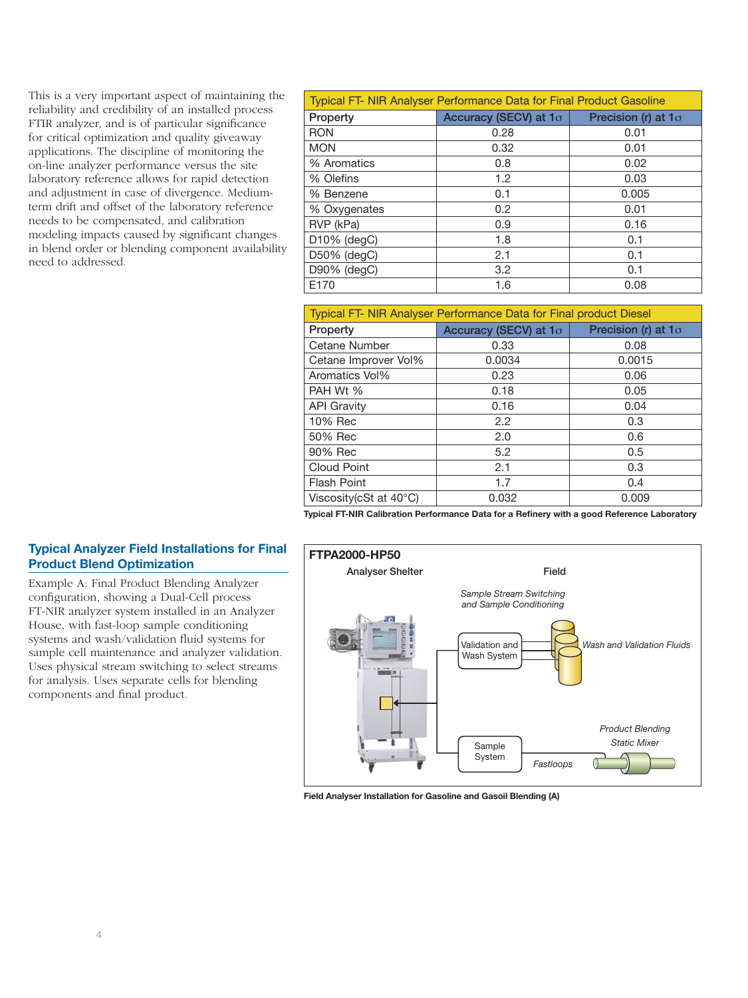This is a very important aspect of maintaining the reliability and credibility of an installed process FTIR analyzer, and is of particular significance for critical optimization and quality giveaway applications. The discipline of monitoring the on-line analyzer performance versus the site laboratory reference allows for rapid detection and adjustment in case of divergence. Mediumterm drift and offset of the laboratory reference needs to be compensated, and calibration modeling impacts caused by significant changes in blend order or blending component availability need to addressed.

| <b>Typical FT- NIR Analyser Performance Data for Final Product Gasoline</b> |                       |                            |  |  |
|-----------------------------------------------------------------------------|-----------------------|----------------------------|--|--|
| Property                                                                    | Accuracy (SECV) at 10 | Precision (r) at $1\sigma$ |  |  |
| <b>RON</b>                                                                  | 0.28                  | 0.01                       |  |  |
| <b>MON</b>                                                                  | 0.32                  | 0.01                       |  |  |
| % Aromatics                                                                 | 0.8                   | 0.02                       |  |  |
| % Olefins                                                                   | 1.2                   | 0.03                       |  |  |
| % Benzene                                                                   | 0.1                   | 0.005                      |  |  |
| % Oxygenates                                                                | 0.2                   | 0.01                       |  |  |
| RVP (kPa)                                                                   | 0.9                   | 0.16                       |  |  |
| $D10\%$ (degC)                                                              | 1.8                   | 0.1                        |  |  |
| D50% (degC)                                                                 | 2.1                   | 0.1                        |  |  |
| D90% (degC)                                                                 | 3.2                   | 0.1                        |  |  |
| E170                                                                        | 1.6                   | 0.08                       |  |  |

| Typical FT- NIR Analyser Performance Data for Final product Diesel |                       |                            |  |  |
|--------------------------------------------------------------------|-----------------------|----------------------------|--|--|
| Property                                                           | Accuracy (SECV) at 10 | Precision (r) at $1\sigma$ |  |  |
| Cetane Number                                                      | 0.33                  | 0.08                       |  |  |
| Cetane Improver Vol%                                               | 0.0034                | 0.0015                     |  |  |
| Aromatics Vol%                                                     | 0.23                  | 0.06                       |  |  |
| PAH Wt %                                                           | 0.18                  | 0.05                       |  |  |
| <b>API Gravity</b>                                                 | 0.16                  | 0.04                       |  |  |
| 10% Rec                                                            | 2.2                   | 0.3                        |  |  |
| 50% Rec                                                            | 2.0                   | 0.6                        |  |  |
| 90% Rec                                                            | 5.2                   | 0.5                        |  |  |
| <b>Cloud Point</b>                                                 | 2.1                   | 0.3                        |  |  |
| <b>Flash Point</b>                                                 | 1.7                   | 0.4                        |  |  |
| Viscosity (cSt at $40^{\circ}$ C)                                  | 0.032                 | 0.009                      |  |  |

**Typical FT-NIR Calibration Performance Data for a Refinery with a good Reference Laboratory**

# **Typical Analyzer Field Installations for Final Product Blend Optimization**

Example A: Final Product Blending Analyzer configuration, showing a Dual-Cell process FT-NIR analyzer system installed in an Analyzer House, with fast-loop sample conditioning systems and wash/validation fluid systems for sample cell maintenance and analyzer validation. Uses physical stream switching to select streams for analysis. Uses separate cells for blending components and final product.



**Field Analyser Installation for Gasoline and Gasoil Blending (A)**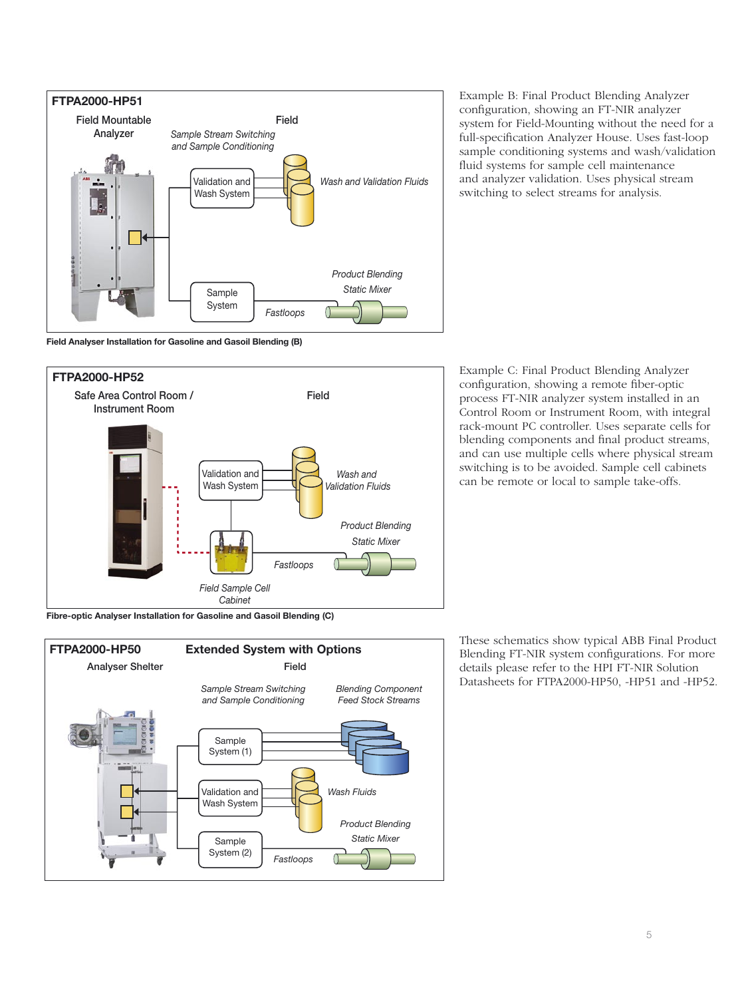

**Field Analyser Installation for Gasoline and Gasoil Blending (B)**



Example B: Final Product Blending Analyzer configuration, showing an FT-NIR analyzer system for Field-Mounting without the need for a full-specification Analyzer House. Uses fast-loop sample conditioning systems and wash/validation fluid systems for sample cell maintenance and analyzer validation. Uses physical stream switching to select streams for analysis.

Example C: Final Product Blending Analyzer configuration, showing a remote fiber-optic process FT-NIR analyzer system installed in an Control Room or Instrument Room, with integral rack-mount PC controller. Uses separate cells for blending components and final product streams, and can use multiple cells where physical stream switching is to be avoided. Sample cell cabinets can be remote or local to sample take-offs.

**Fibre-optic Analyser Installation for Gasoline and Gasoil Blending (C)**



These schematics show typical ABB Final Product Blending FT-NIR system configurations. For more details please refer to the HPI FT-NIR Solution Datasheets for FTPA2000-HP50, -HP51 and -HP52.